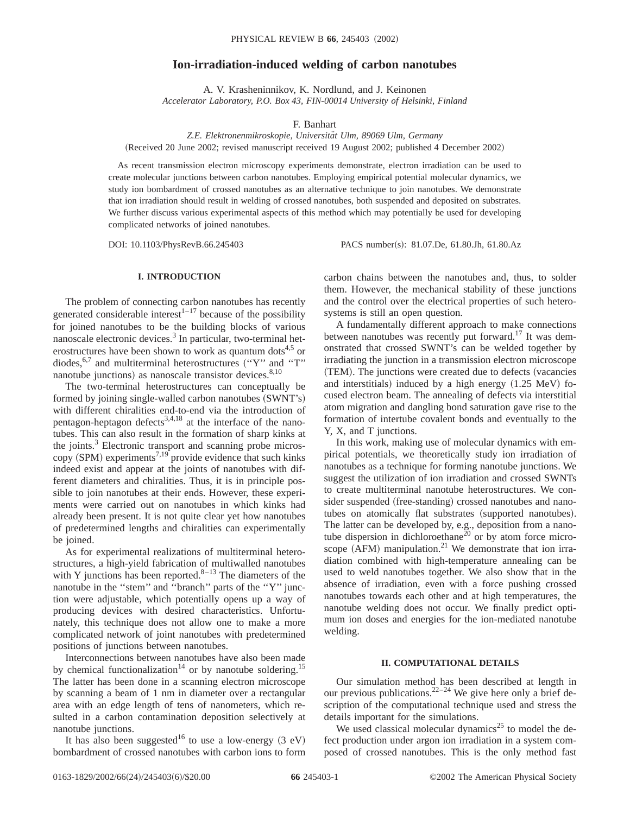# **Ion-irradiation-induced welding of carbon nanotubes**

A. V. Krasheninnikov, K. Nordlund, and J. Keinonen *Accelerator Laboratory, P.O. Box 43, FIN-00014 University of Helsinki, Finland*

F. Banhart

*Z.E. Elektronenmikroskopie, Universita¨t Ulm, 89069 Ulm, Germany*

(Received 20 June 2002; revised manuscript received 19 August 2002; published 4 December 2002)

As recent transmission electron microscopy experiments demonstrate, electron irradiation can be used to create molecular junctions between carbon nanotubes. Employing empirical potential molecular dynamics, we study ion bombardment of crossed nanotubes as an alternative technique to join nanotubes. We demonstrate that ion irradiation should result in welding of crossed nanotubes, both suspended and deposited on substrates. We further discuss various experimental aspects of this method which may potentially be used for developing complicated networks of joined nanotubes.

DOI: 10.1103/PhysRevB.66.245403 PACS number(s): 81.07.De, 61.80.Jh, 61.80.Az

# **I. INTRODUCTION**

The problem of connecting carbon nanotubes has recently generated considerable interest $^{1-17}$  because of the possibility for joined nanotubes to be the building blocks of various nanoscale electronic devices. $3$  In particular, two-terminal heterostructures have been shown to work as quantum dots<sup>4,5</sup> or diodes, $6,7$  and multiterminal heterostructures  $("Y"$  and "T" nanotube junctions) as nanoscale transistor devices.<sup>8,10</sup>

The two-terminal heterostructures can conceptually be formed by joining single-walled carbon nanotubes (SWNT's) with different chiralities end-to-end via the introduction of pentagon-heptagon defects<sup>3,4,18</sup> at the interface of the nanotubes. This can also result in the formation of sharp kinks at the joints.<sup>3</sup> Electronic transport and scanning probe microscopy (SPM) experiments<sup>7,19</sup> provide evidence that such kinks indeed exist and appear at the joints of nanotubes with different diameters and chiralities. Thus, it is in principle possible to join nanotubes at their ends. However, these experiments were carried out on nanotubes in which kinks had already been present. It is not quite clear yet how nanotubes of predetermined lengths and chiralities can experimentally be joined.

As for experimental realizations of multiterminal heterostructures, a high-yield fabrication of multiwalled nanotubes with Y junctions has been reported. $8-13$  The diameters of the nanotube in the ''stem'' and ''branch'' parts of the ''Y'' junction were adjustable, which potentially opens up a way of producing devices with desired characteristics. Unfortunately, this technique does not allow one to make a more complicated network of joint nanotubes with predetermined positions of junctions between nanotubes.

Interconnections between nanotubes have also been made by chemical functionalization<sup>14</sup> or by nanotube soldering.<sup>15</sup> The latter has been done in a scanning electron microscope by scanning a beam of 1 nm in diameter over a rectangular area with an edge length of tens of nanometers, which resulted in a carbon contamination deposition selectively at nanotube junctions.

It has also been suggested<sup>16</sup> to use a low-energy  $(3 \text{ eV})$ bombardment of crossed nanotubes with carbon ions to form carbon chains between the nanotubes and, thus, to solder them. However, the mechanical stability of these junctions and the control over the electrical properties of such heterosystems is still an open question.

A fundamentally different approach to make connections between nanotubes was recently put forward.<sup>17</sup> It was demonstrated that crossed SWNT's can be welded together by irradiating the junction in a transmission electron microscope (TEM). The junctions were created due to defects (vacancies and interstitials) induced by a high energy  $(1.25 \text{ MeV})$  focused electron beam. The annealing of defects via interstitial atom migration and dangling bond saturation gave rise to the formation of intertube covalent bonds and eventually to the Y, X, and T junctions.

In this work, making use of molecular dynamics with empirical potentials, we theoretically study ion irradiation of nanotubes as a technique for forming nanotube junctions. We suggest the utilization of ion irradiation and crossed SWNTs to create multiterminal nanotube heterostructures. We consider suspended (free-standing) crossed nanotubes and nanotubes on atomically flat substrates (supported nanotubes). The latter can be developed by, e.g., deposition from a nanotube dispersion in dichloroethane<sup>20</sup> or by atom force microscope  $(AFM)$  manipulation.<sup>21</sup> We demonstrate that ion irradiation combined with high-temperature annealing can be used to weld nanotubes together. We also show that in the absence of irradiation, even with a force pushing crossed nanotubes towards each other and at high temperatures, the nanotube welding does not occur. We finally predict optimum ion doses and energies for the ion-mediated nanotube welding.

# **II. COMPUTATIONAL DETAILS**

Our simulation method has been described at length in our previous publications.<sup>22–24</sup> We give here only a brief description of the computational technique used and stress the details important for the simulations.

We used classical molecular dynamics<sup>25</sup> to model the defect production under argon ion irradiation in a system composed of crossed nanotubes. This is the only method fast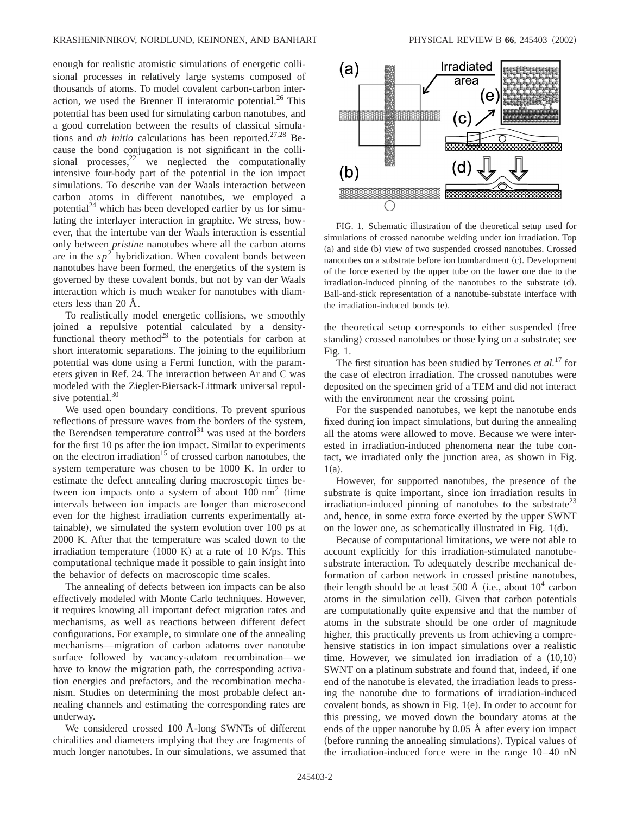enough for realistic atomistic simulations of energetic collisional processes in relatively large systems composed of thousands of atoms. To model covalent carbon-carbon interaction, we used the Brenner II interatomic potential.<sup>26</sup> This potential has been used for simulating carbon nanotubes, and a good correlation between the results of classical simulations and *ab initio* calculations has been reported.<sup>27,28</sup> Because the bond conjugation is not significant in the collisional processes, $2^2$  we neglected the computationally intensive four-body part of the potential in the ion impact simulations. To describe van der Waals interaction between carbon atoms in different nanotubes, we employed a potential<sup>24</sup> which has been developed earlier by us for simulating the interlayer interaction in graphite. We stress, however, that the intertube van der Waals interaction is essential only between *pristine* nanotubes where all the carbon atoms are in the  $sp<sup>2</sup>$  hybridization. When covalent bonds between nanotubes have been formed, the energetics of the system is governed by these covalent bonds, but not by van der Waals interaction which is much weaker for nanotubes with diameters less than 20 Å.

To realistically model energetic collisions, we smoothly joined a repulsive potential calculated by a densityfunctional theory method<sup>29</sup> to the potentials for carbon at short interatomic separations. The joining to the equilibrium potential was done using a Fermi function, with the parameters given in Ref. 24. The interaction between Ar and C was modeled with the Ziegler-Biersack-Littmark universal repulsive potential. $30$ 

We used open boundary conditions. To prevent spurious reflections of pressure waves from the borders of the system, the Berendsen temperature control<sup>31</sup> was used at the borders for the first 10 ps after the ion impact. Similar to experiments on the electron irradiation<sup>15</sup> of crossed carbon nanotubes, the system temperature was chosen to be 1000 K. In order to estimate the defect annealing during macroscopic times between ion impacts onto a system of about  $100 ~\text{nm}^2$  (time intervals between ion impacts are longer than microsecond even for the highest irradiation currents experimentally attainable), we simulated the system evolution over 100 ps at 2000 K. After that the temperature was scaled down to the irradiation temperature  $(1000 \text{ K})$  at a rate of 10 K/ps. This computational technique made it possible to gain insight into the behavior of defects on macroscopic time scales.

The annealing of defects between ion impacts can be also effectively modeled with Monte Carlo techniques. However, it requires knowing all important defect migration rates and mechanisms, as well as reactions between different defect configurations. For example, to simulate one of the annealing mechanisms—migration of carbon adatoms over nanotube surface followed by vacancy-adatom recombination—we have to know the migration path, the corresponding activation energies and prefactors, and the recombination mechanism. Studies on determining the most probable defect annealing channels and estimating the corresponding rates are underway.

We considered crossed 100 Å-long SWNTs of different chiralities and diameters implying that they are fragments of much longer nanotubes. In our simulations, we assumed that



FIG. 1. Schematic illustration of the theoretical setup used for simulations of crossed nanotube welding under ion irradiation. Top (a) and side (b) view of two suspended crossed nanotubes. Crossed nanotubes on a substrate before ion bombardment (c). Development of the force exerted by the upper tube on the lower one due to the  $irradiation-induced pinning of the nanotubes to the substrate  $(d)$ .$ Ball-and-stick representation of a nanotube-substate interface with the irradiation-induced bonds (e).

the theoretical setup corresponds to either suspended (free standing) crossed nanotubes or those lying on a substrate; see Fig. 1.

The first situation has been studied by Terrones *et al.*<sup>17</sup> for the case of electron irradiation. The crossed nanotubes were deposited on the specimen grid of a TEM and did not interact with the environment near the crossing point.

For the suspended nanotubes, we kept the nanotube ends fixed during ion impact simulations, but during the annealing all the atoms were allowed to move. Because we were interested in irradiation-induced phenomena near the tube contact, we irradiated only the junction area, as shown in Fig.  $1(a)$ .

However, for supported nanotubes, the presence of the substrate is quite important, since ion irradiation results in irradiation-induced pinning of nanotubes to the substrate<sup>23</sup> and, hence, in some extra force exerted by the upper SWNT on the lower one, as schematically illustrated in Fig.  $1(d)$ .

Because of computational limitations, we were not able to account explicitly for this irradiation-stimulated nanotubesubstrate interaction. To adequately describe mechanical deformation of carbon network in crossed pristine nanotubes, their length should be at least 500 Å (i.e., about  $10^4$  carbon atoms in the simulation cell). Given that carbon potentials are computationally quite expensive and that the number of atoms in the substrate should be one order of magnitude higher, this practically prevents us from achieving a comprehensive statistics in ion impact simulations over a realistic time. However, we simulated ion irradiation of a  $(10,10)$ SWNT on a platinum substrate and found that, indeed, if one end of the nanotube is elevated, the irradiation leads to pressing the nanotube due to formations of irradiation-induced covalent bonds, as shown in Fig.  $1(e)$ . In order to account for this pressing, we moved down the boundary atoms at the ends of the upper nanotube by 0.05 Å after every ion impact (before running the annealing simulations). Typical values of the irradiation-induced force were in the range 10–40 nN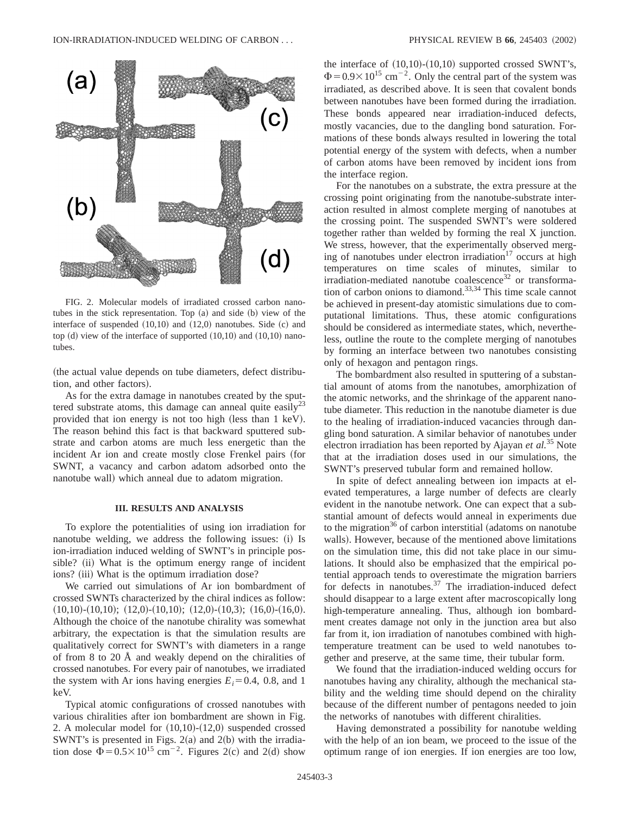

FIG. 2. Molecular models of irradiated crossed carbon nanotubes in the stick representation. Top (a) and side (b) view of the interface of suspended  $(10,10)$  and  $(12,0)$  nanotubes. Side  $(c)$  and top  $(d)$  view of the interface of supported  $(10,10)$  and  $(10,10)$  nanotubes.

(the actual value depends on tube diameters, defect distribution, and other factors).

As for the extra damage in nanotubes created by the sputtered substrate atoms, this damage can anneal quite easily<sup>23</sup> provided that ion energy is not too high (less than 1 keV). The reason behind this fact is that backward sputtered substrate and carbon atoms are much less energetic than the incident Ar ion and create mostly close Frenkel pairs (for SWNT, a vacancy and carbon adatom adsorbed onto the nanotube wall) which anneal due to adatom migration.

## **III. RESULTS AND ANALYSIS**

To explore the potentialities of using ion irradiation for nanotube welding, we address the following issues: (i) Is ion-irradiation induced welding of SWNT's in principle possible? (ii) What is the optimum energy range of incident ions? (iii) What is the optimum irradiation dose?

We carried out simulations of Ar ion bombardment of crossed SWNTs characterized by the chiral indices as follow:  $(10,10)$ - $(10,10)$ ;  $(12,0)$ - $(10,10)$ ;  $(12,0)$ - $(10,3)$ ;  $(16,0)$ - $(16,0)$ . Although the choice of the nanotube chirality was somewhat arbitrary, the expectation is that the simulation results are qualitatively correct for SWNT's with diameters in a range of from 8 to 20 Å and weakly depend on the chiralities of crossed nanotubes. For every pair of nanotubes, we irradiated the system with Ar ions having energies  $E_i=0.4$ , 0.8, and 1 keV.

Typical atomic configurations of crossed nanotubes with various chiralities after ion bombardment are shown in Fig. 2. A molecular model for  $(10,10)-(12,0)$  suspended crossed SWNT's is presented in Figs.  $2(a)$  and  $2(b)$  with the irradiation dose  $\Phi = 0.5 \times 10^{15}$  cm<sup>-2</sup>. Figures 2(c) and 2(d) show the interface of  $(10,10)-(10,10)$  supported crossed SWNT's,  $\Phi$ =0.9×10<sup>15</sup> cm<sup>-2</sup>. Only the central part of the system was irradiated, as described above. It is seen that covalent bonds between nanotubes have been formed during the irradiation. These bonds appeared near irradiation-induced defects, mostly vacancies, due to the dangling bond saturation. Formations of these bonds always resulted in lowering the total potential energy of the system with defects, when a number of carbon atoms have been removed by incident ions from the interface region.

For the nanotubes on a substrate, the extra pressure at the crossing point originating from the nanotube-substrate interaction resulted in almost complete merging of nanotubes at the crossing point. The suspended SWNT's were soldered together rather than welded by forming the real X junction. We stress, however, that the experimentally observed merging of nanotubes under electron irradiation $17$  occurs at high temperatures on time scales of minutes, similar to irradiation-mediated nanotube coalescence<sup>32</sup> or transformation of carbon onions to diamond.<sup>33,34</sup> This time scale cannot be achieved in present-day atomistic simulations due to computational limitations. Thus, these atomic configurations should be considered as intermediate states, which, nevertheless, outline the route to the complete merging of nanotubes by forming an interface between two nanotubes consisting only of hexagon and pentagon rings.

The bombardment also resulted in sputtering of a substantial amount of atoms from the nanotubes, amorphization of the atomic networks, and the shrinkage of the apparent nanotube diameter. This reduction in the nanotube diameter is due to the healing of irradiation-induced vacancies through dangling bond saturation. A similar behavior of nanotubes under electron irradiation has been reported by Ajayan *et al.*<sup>35</sup> Note that at the irradiation doses used in our simulations, the SWNT's preserved tubular form and remained hollow.

In spite of defect annealing between ion impacts at elevated temperatures, a large number of defects are clearly evident in the nanotube network. One can expect that a substantial amount of defects would anneal in experiments due to the migration<sup>36</sup> of carbon interstitial (adatoms on nanotube walls). However, because of the mentioned above limitations on the simulation time, this did not take place in our simulations. It should also be emphasized that the empirical potential approach tends to overestimate the migration barriers for defects in nanotubes. $37$  The irradiation-induced defect should disappear to a large extent after macroscopically long high-temperature annealing. Thus, although ion bombardment creates damage not only in the junction area but also far from it, ion irradiation of nanotubes combined with hightemperature treatment can be used to weld nanotubes together and preserve, at the same time, their tubular form.

We found that the irradiation-induced welding occurs for nanotubes having any chirality, although the mechanical stability and the welding time should depend on the chirality because of the different number of pentagons needed to join the networks of nanotubes with different chiralities.

Having demonstrated a possibility for nanotube welding with the help of an ion beam, we proceed to the issue of the optimum range of ion energies. If ion energies are too low,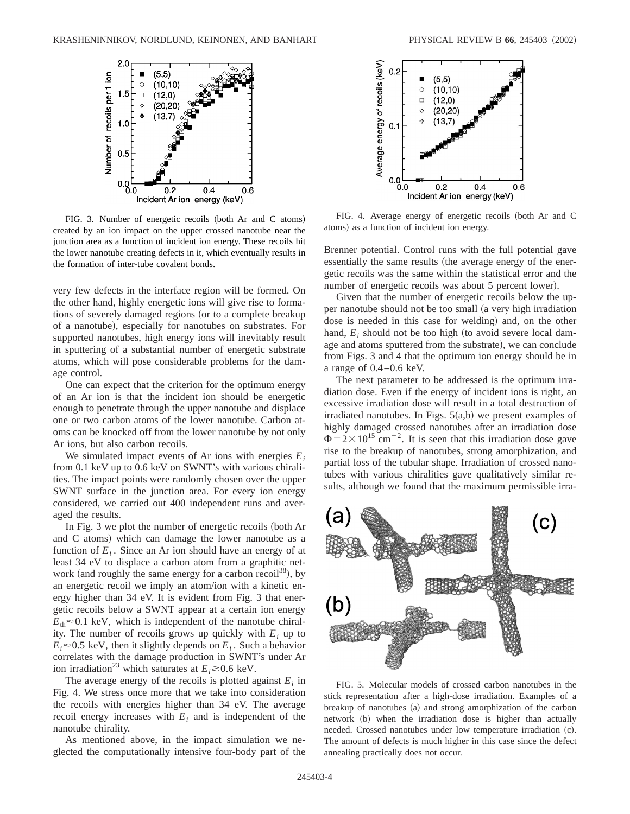

FIG. 3. Number of energetic recoils (both Ar and C atoms) created by an ion impact on the upper crossed nanotube near the junction area as a function of incident ion energy. These recoils hit the lower nanotube creating defects in it, which eventually results in the formation of inter-tube covalent bonds.

very few defects in the interface region will be formed. On the other hand, highly energetic ions will give rise to formations of severely damaged regions (or to a complete breakup of a nanotube), especially for nanotubes on substrates. For supported nanotubes, high energy ions will inevitably result in sputtering of a substantial number of energetic substrate atoms, which will pose considerable problems for the damage control.

One can expect that the criterion for the optimum energy of an Ar ion is that the incident ion should be energetic enough to penetrate through the upper nanotube and displace one or two carbon atoms of the lower nanotube. Carbon atoms can be knocked off from the lower nanotube by not only Ar ions, but also carbon recoils.

We simulated impact events of Ar ions with energies *Ei* from 0.1 keV up to 0.6 keV on SWNT's with various chiralities. The impact points were randomly chosen over the upper SWNT surface in the junction area. For every ion energy considered, we carried out 400 independent runs and averaged the results.

In Fig.  $3$  we plot the number of energetic recoils (both Ar and C atoms) which can damage the lower nanotube as a function of  $E_i$ . Since an Ar ion should have an energy of at least 34 eV to displace a carbon atom from a graphitic network (and roughly the same energy for a carbon recoil<sup>38</sup>), by an energetic recoil we imply an atom/ion with a kinetic energy higher than 34 eV. It is evident from Fig. 3 that energetic recoils below a SWNT appear at a certain ion energy  $E_{\text{th}} \approx 0.1$  keV, which is independent of the nanotube chirality. The number of recoils grows up quickly with  $E_i$  up to  $E_i \approx 0.5$  keV, then it slightly depends on  $E_i$ . Such a behavior correlates with the damage production in SWNT's under Ar ion irradiation<sup>23</sup> which saturates at  $E_i \gtrsim 0.6$  keV.

The average energy of the recoils is plotted against  $E_i$  in Fig. 4. We stress once more that we take into consideration the recoils with energies higher than 34 eV. The average recoil energy increases with  $E_i$  and is independent of the nanotube chirality.

As mentioned above, in the impact simulation we neglected the computationally intensive four-body part of the



FIG. 4. Average energy of energetic recoils (both Ar and C atoms) as a function of incident ion energy.

Brenner potential. Control runs with the full potential gave essentially the same results (the average energy of the energetic recoils was the same within the statistical error and the number of energetic recoils was about 5 percent lower).

Given that the number of energetic recoils below the upper nanotube should not be too small (a very high irradiation dose is needed in this case for welding) and, on the other hand,  $E_i$  should not be too high (to avoid severe local damage and atoms sputtered from the substrate), we can conclude from Figs. 3 and 4 that the optimum ion energy should be in a range of  $0.4-0.6$  keV.

The next parameter to be addressed is the optimum irradiation dose. Even if the energy of incident ions is right, an excessive irradiation dose will result in a total destruction of irradiated nanotubes. In Figs.  $5(a,b)$  we present examples of highly damaged crossed nanotubes after an irradiation dose  $\Phi$ =2×10<sup>15</sup> cm<sup>-2</sup>. It is seen that this irradiation dose gave rise to the breakup of nanotubes, strong amorphization, and partial loss of the tubular shape. Irradiation of crossed nanotubes with various chiralities gave qualitatively similar results, although we found that the maximum permissible irra-



FIG. 5. Molecular models of crossed carbon nanotubes in the stick representation after a high-dose irradiation. Examples of a breakup of nanotubes (a) and strong amorphization of the carbon network (b) when the irradiation dose is higher than actually needed. Crossed nanotubes under low temperature irradiation (c). The amount of defects is much higher in this case since the defect annealing practically does not occur.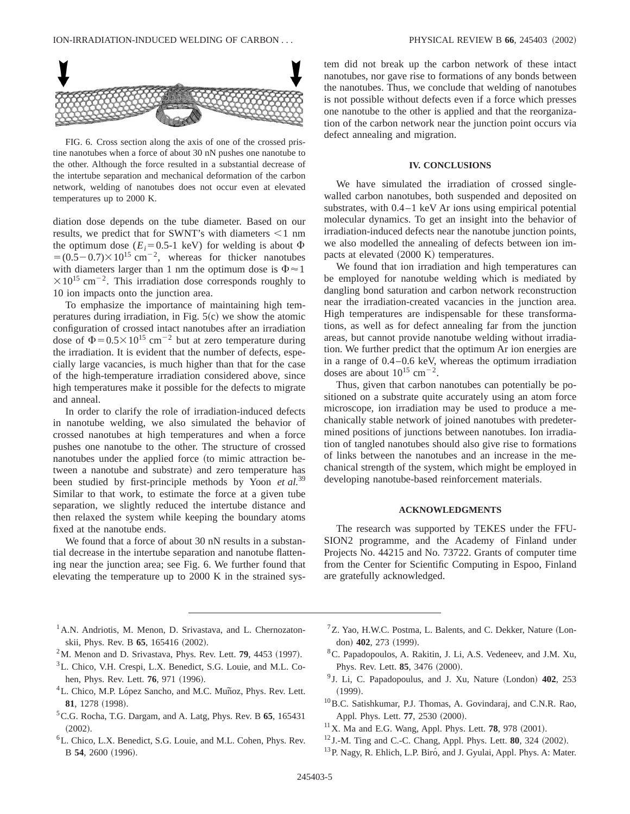

FIG. 6. Cross section along the axis of one of the crossed pristine nanotubes when a force of about 30 nN pushes one nanotube to the other. Although the force resulted in a substantial decrease of the intertube separation and mechanical deformation of the carbon network, welding of nanotubes does not occur even at elevated temperatures up to 2000 K.

diation dose depends on the tube diameter. Based on our results, we predict that for SWNT's with diameters  $\leq 1$  nm the optimum dose  $(E_i=0.5-1 \text{ keV})$  for welding is about  $\Phi$  $= (0.5-0.7) \times 10^{15}$  cm<sup>-2</sup>, whereas for thicker nanotubes with diameters larger than 1 nm the optimum dose is  $\Phi \approx 1$  $\times 10^{15}$  cm<sup>-2</sup>. This irradiation dose corresponds roughly to 10 ion impacts onto the junction area.

To emphasize the importance of maintaining high temperatures during irradiation, in Fig.  $5(c)$  we show the atomic configuration of crossed intact nanotubes after an irradiation dose of  $\Phi$ =0.5×10<sup>15</sup> cm<sup>-2</sup> but at zero temperature during the irradiation. It is evident that the number of defects, especially large vacancies, is much higher than that for the case of the high-temperature irradiation considered above, since high temperatures make it possible for the defects to migrate and anneal.

In order to clarify the role of irradiation-induced defects in nanotube welding, we also simulated the behavior of crossed nanotubes at high temperatures and when a force pushes one nanotube to the other. The structure of crossed nanotubes under the applied force (to mimic attraction between a nanotube and substrate) and zero temperature has been studied by first-principle methods by Yoon *et al.*<sup>39</sup> Similar to that work, to estimate the force at a given tube separation, we slightly reduced the intertube distance and then relaxed the system while keeping the boundary atoms fixed at the nanotube ends.

We found that a force of about 30 nN results in a substantial decrease in the intertube separation and nanotube flattening near the junction area; see Fig. 6. We further found that elevating the temperature up to 2000 K in the strained system did not break up the carbon network of these intact nanotubes, nor gave rise to formations of any bonds between the nanotubes. Thus, we conclude that welding of nanotubes is not possible without defects even if a force which presses one nanotube to the other is applied and that the reorganization of the carbon network near the junction point occurs via defect annealing and migration.

# **IV. CONCLUSIONS**

We have simulated the irradiation of crossed singlewalled carbon nanotubes, both suspended and deposited on substrates, with 0.4–1 keV Ar ions using empirical potential molecular dynamics. To get an insight into the behavior of irradiation-induced defects near the nanotube junction points, we also modelled the annealing of defects between ion impacts at elevated  $(2000 \text{ K})$  temperatures.

We found that ion irradiation and high temperatures can be employed for nanotube welding which is mediated by dangling bond saturation and carbon network reconstruction near the irradiation-created vacancies in the junction area. High temperatures are indispensable for these transformations, as well as for defect annealing far from the junction areas, but cannot provide nanotube welding without irradiation. We further predict that the optimum Ar ion energies are in a range of 0.4–0.6 keV, whereas the optimum irradiation doses are about  $10^{15}$  cm<sup>-2</sup>.

Thus, given that carbon nanotubes can potentially be positioned on a substrate quite accurately using an atom force microscope, ion irradiation may be used to produce a mechanically stable network of joined nanotubes with predetermined positions of junctions between nanotubes. Ion irradiation of tangled nanotubes should also give rise to formations of links between the nanotubes and an increase in the mechanical strength of the system, which might be employed in developing nanotube-based reinforcement materials.

# **ACKNOWLEDGMENTS**

The research was supported by TEKES under the FFU-SION2 programme, and the Academy of Finland under Projects No. 44215 and No. 73722. Grants of computer time from the Center for Scientific Computing in Espoo, Finland are gratefully acknowledged.

- <sup>1</sup> A.N. Andriotis, M. Menon, D. Srivastava, and L. Chernozatonskii, Phys. Rev. B 65, 165416 (2002).
- $2^2$ M. Menon and D. Srivastava, Phys. Rev. Lett. **79**, 4453 (1997).
- 3L. Chico, V.H. Crespi, L.X. Benedict, S.G. Louie, and M.L. Cohen, Phys. Rev. Lett. **76**, 971 (1996).<br><sup>4</sup>L. Chico, M.P. López Sancho, and M.C. Muñoz, Phys. Rev. Lett.
- 81, 1278 (1998).
- 5C.G. Rocha, T.G. Dargam, and A. Latg, Phys. Rev. B **65**, 165431  $(2002).$
- 6L. Chico, L.X. Benedict, S.G. Louie, and M.L. Cohen, Phys. Rev. B 54, 2600 (1996).
- ${}^{7}Z$ . Yao, H.W.C. Postma, L. Balents, and C. Dekker, Nature (London) 402, 273 (1999).
- 8C. Papadopoulos, A. Rakitin, J. Li, A.S. Vedeneev, and J.M. Xu, Phys. Rev. Lett. **85**, 3476 (2000).
- <sup>9</sup> J. Li, C. Papadopoulus, and J. Xu, Nature (London) 402, 253  $(1999).$
- 10B.C. Satishkumar, P.J. Thomas, A. Govindaraj, and C.N.R. Rao, Appl. Phys. Lett. **77**, 2530 (2000).
- $11$ X. Ma and E.G. Wang, Appl. Phys. Lett. **78**, 978 (2001).
- $12$  J.-M. Ting and C.-C. Chang, Appl. Phys. Lett. **80**, 324  $(2002)$ .
- <sup>13</sup>P. Nagy, R. Ehlich, L.P. Biro, and J. Gyulai, Appl. Phys. A: Mater.